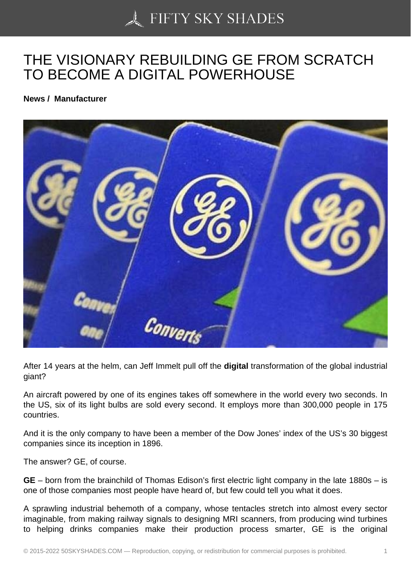## [THE VISIONARY REB](https://50skyshades.com)UILDING GE FROM SCRATCH TO BECOME A DIGITAL POWERHOUSE

News / Manufacturer

After 14 years at the helm, can Jeff Immelt pull off the digital transformation of the global industrial giant?

An aircraft powered by one of its engines takes off somewhere in the world every two seconds. In the US, six of its light bulbs are sold every second. It employs more than 300,000 people in 175 countries.

And it is the only company to have been a member of the Dow Jones' index of the US's 30 biggest companies since its inception in 1896.

The answer? GE, of course.

GE – born from the brainchild of Thomas Edison's first electric light company in the late 1880s – is one of those companies most people have heard of, but few could tell you what it does.

A sprawling industrial behemoth of a company, whose tentacles stretch into almost every sector imaginable, from making railway signals to designing MRI scanners, from producing wind turbines to helping drinks companies make their production process smarter, GE is the original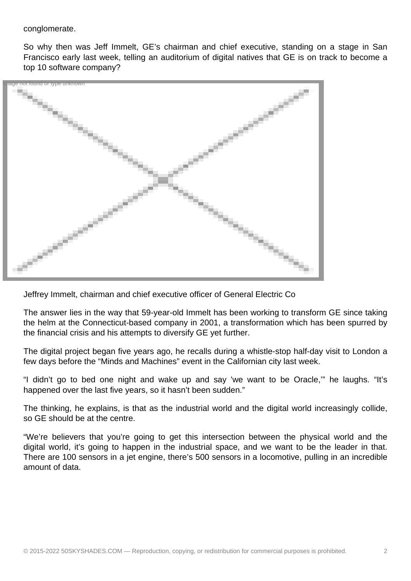## conglomerate.

So why then was Jeff Immelt, GE's chairman and chief executive, standing on a stage in San Francisco early last week, telling an auditorium of digital natives that GE is on track to become a top 10 software company?



Jeffrey Immelt, chairman and chief executive officer of General Electric Co

The answer lies in the way that 59-year-old Immelt has been working to transform GE since taking the helm at the Connecticut-based company in 2001, a transformation which has been spurred by the financial crisis and his attempts to diversify GE yet further.

The digital project began five years ago, he recalls during a whistle-stop half-day visit to London a few days before the "Minds and Machines" event in the Californian city last week.

"I didn't go to bed one night and wake up and say 'we want to be Oracle,'" he laughs. "It's happened over the last five years, so it hasn't been sudden."

The thinking, he explains, is that as the industrial world and the digital world increasingly collide, so GE should be at the centre.

"We're believers that you're going to get this intersection between the physical world and the digital world, it's going to happen in the industrial space, and we want to be the leader in that. There are 100 sensors in a jet engine, there's 500 sensors in a locomotive, pulling in an incredible amount of data.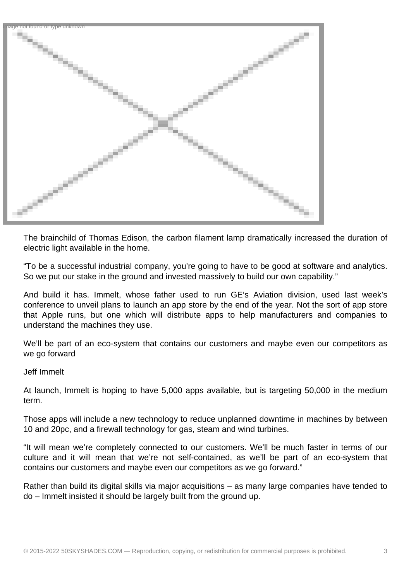

The brainchild of Thomas Edison, the carbon filament lamp dramatically increased the duration of electric light available in the home.

"To be a successful industrial company, you're going to have to be good at software and analytics. So we put our stake in the ground and invested massively to build our own capability."

And build it has. Immelt, whose father used to run GE's Aviation division, used last week's conference to unveil plans to launch an app store by the end of the year. Not the sort of app store that Apple runs, but one which will distribute apps to help manufacturers and companies to understand the machines they use.

We'll be part of an eco-system that contains our customers and maybe even our competitors as we go forward

Jeff Immelt

At launch, Immelt is hoping to have 5,000 apps available, but is targeting 50,000 in the medium term.

Those apps will include a new technology to reduce unplanned downtime in machines by between 10 and 20pc, and a firewall technology for gas, steam and wind turbines.

"It will mean we're completely connected to our customers. We'll be much faster in terms of our culture and it will mean that we're not self-contained, as we'll be part of an eco-system that contains our customers and maybe even our competitors as we go forward."

Rather than build its digital skills via major acquisitions – as many large companies have tended to do – Immelt insisted it should be largely built from the ground up.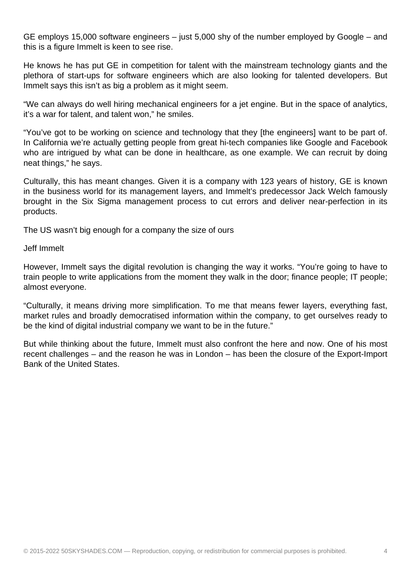GE employs 15,000 software engineers – just 5,000 shy of the number employed by Google – and this is a figure Immelt is keen to see rise.

He knows he has put GE in competition for talent with the mainstream technology giants and the plethora of start-ups for software engineers which are also looking for talented developers. But Immelt says this isn't as big a problem as it might seem.

"We can always do well hiring mechanical engineers for a jet engine. But in the space of analytics, it's a war for talent, and talent won," he smiles.

"You've got to be working on science and technology that they [the engineers] want to be part of. In California we're actually getting people from great hi-tech companies like Google and Facebook who are intrigued by what can be done in healthcare, as one example. We can recruit by doing neat things," he says.

Culturally, this has meant changes. Given it is a company with 123 years of history, GE is known in the business world for its management layers, and Immelt's predecessor Jack Welch famously brought in the Six Sigma management process to cut errors and deliver near-perfection in its products.

The US wasn't big enough for a company the size of ours

Jeff Immelt

However, Immelt says the digital revolution is changing the way it works. "You're going to have to train people to write applications from the moment they walk in the door; finance people; IT people; almost everyone.

"Culturally, it means driving more simplification. To me that means fewer layers, everything fast, market rules and broadly democratised information within the company, to get ourselves ready to be the kind of digital industrial company we want to be in the future."

But while thinking about the future, Immelt must also confront the here and now. One of his most recent challenges – and the reason he was in London – has been the closure of the Export-Import Bank of the United States.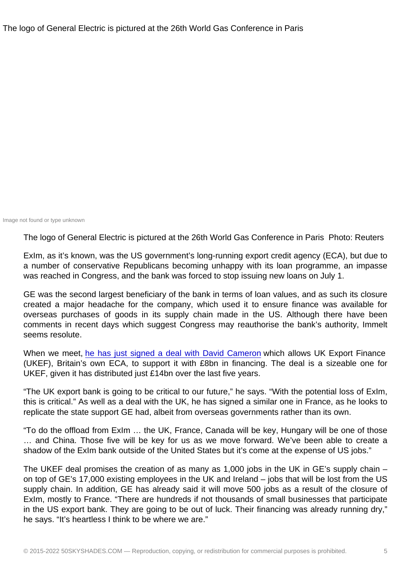Image not found or type unknown

The logo of General Electric is pictured at the 26th World Gas Conference in Paris Photo: Reuters

ExIm, as it's known, was the US government's long-running export credit agency (ECA), but due to a number of conservative Republicans becoming unhappy with its loan programme, an impasse was reached in Congress, and the bank was forced to stop issuing new loans on July 1.

GE was the second largest beneficiary of the bank in terms of loan values, and as such its closure created a major headache for the company, which used it to ensure finance was available for overseas purchases of goods in its supply chain made in the US. Although there have been comments in recent days which suggest Congress may reauthorise the bank's authority, Immelt seems resolute.

When we meet, he has just signed a deal with David Cameron which allows UK Export Finance (UKEF), Britain's own ECA, to support it with £8bn in financing. The deal is a sizeable one for UKEF, given it has distributed just £14bn over the last five years.

"The UK export [bank is going to be critical to our future," he says](http://www.telegraph.co.uk/finance/newsbysector/industry/11888429/GE-to-create-1000-UK-jobs-with-government-support.html). "With the potential loss of ExIm, this is critical." As well as a deal with the UK, he has signed a similar one in France, as he looks to replicate the state support GE had, albeit from overseas governments rather than its own.

"To do the offload from ExIm … the UK, France, Canada will be key, Hungary will be one of those … and China. Those five will be key for us as we move forward. We've been able to create a shadow of the ExIm bank outside of the United States but it's come at the expense of US jobs."

The UKEF deal promises the creation of as many as 1,000 jobs in the UK in GE's supply chain on top of GE's 17,000 existing employees in the UK and Ireland – jobs that will be lost from the US supply chain. In addition, GE has already said it will move 500 jobs as a result of the closure of ExIm, mostly to France. "There are hundreds if not thousands of small businesses that participate in the US export bank. They are going to be out of luck. Their financing was already running dry," he says. "It's heartless I think to be where we are."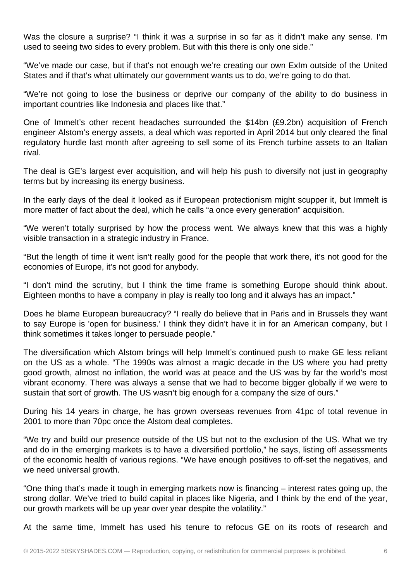Was the closure a surprise? "I think it was a surprise in so far as it didn't make any sense. I'm used to seeing two sides to every problem. But with this there is only one side."

"We've made our case, but if that's not enough we're creating our own ExIm outside of the United States and if that's what ultimately our government wants us to do, we're going to do that.

"We're not going to lose the business or deprive our company of the ability to do business in important countries like Indonesia and places like that."

One of Immelt's other recent headaches surrounded the \$14bn (£9.2bn) acquisition of French engineer Alstom's energy assets, a deal which was reported in April 2014 but only cleared the final regulatory hurdle last month after agreeing to sell some of its French turbine assets to an Italian rival.

The deal is GE's largest ever acquisition, and will help his push to diversify not just in geography terms but by increasing its energy business.

In the early days of the deal it looked as if European protectionism might scupper it, but Immelt is more matter of fact about the deal, which he calls "a once every generation" acquisition.

"We weren't totally surprised by how the process went. We always knew that this was a highly visible transaction in a strategic industry in France.

"But the length of time it went isn't really good for the people that work there, it's not good for the economies of Europe, it's not good for anybody.

"I don't mind the scrutiny, but I think the time frame is something Europe should think about. Eighteen months to have a company in play is really too long and it always has an impact."

Does he blame European bureaucracy? "I really do believe that in Paris and in Brussels they want to say Europe is 'open for business.' I think they didn't have it in for an American company, but I think sometimes it takes longer to persuade people."

The diversification which Alstom brings will help Immelt's continued push to make GE less reliant on the US as a whole. "The 1990s was almost a magic decade in the US where you had pretty good growth, almost no inflation, the world was at peace and the US was by far the world's most vibrant economy. There was always a sense that we had to become bigger globally if we were to sustain that sort of growth. The US wasn't big enough for a company the size of ours."

During his 14 years in charge, he has grown overseas revenues from 41pc of total revenue in 2001 to more than 70pc once the Alstom deal completes.

"We try and build our presence outside of the US but not to the exclusion of the US. What we try and do in the emerging markets is to have a diversified portfolio," he says, listing off assessments of the economic health of various regions. "We have enough positives to off-set the negatives, and we need universal growth.

"One thing that's made it tough in emerging markets now is financing – interest rates going up, the strong dollar. We've tried to build capital in places like Nigeria, and I think by the end of the year, our growth markets will be up year over year despite the volatility."

At the same time, Immelt has used his tenure to refocus GE on its roots of research and